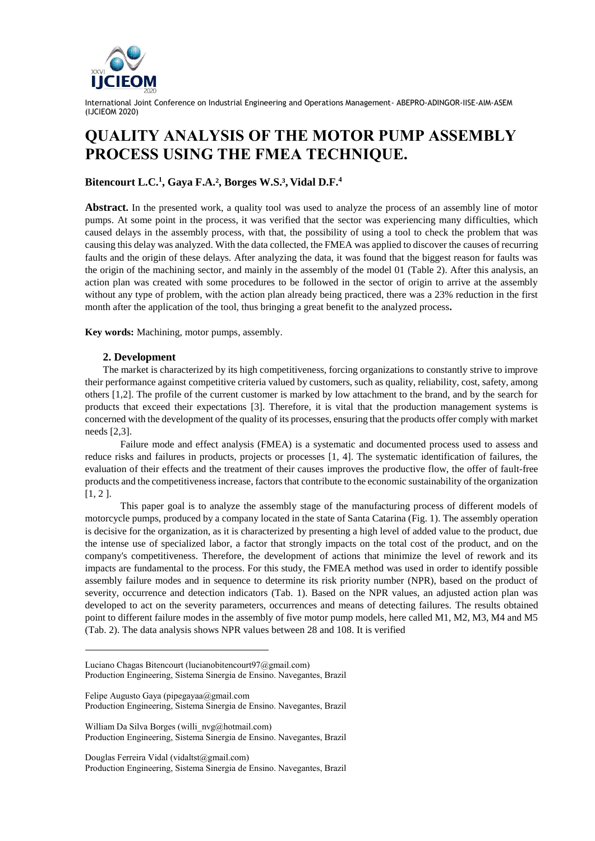

International Joint Conference on Industrial Engineering and Operations Management- ABEPRO-ADINGOR-IISE-AIM-ASEM (IJCIEOM 2020)

# **QUALITY ANALYSIS OF THE MOTOR PUMP ASSEMBLY PROCESS USING THE FMEA TECHNIQUE.**

## **Bitencourt L.C.<sup>1</sup> , Gaya F.A.², Borges W.S.³, Vidal D.F.<sup>4</sup>**

**Abstract.** In the presented work, a quality tool was used to analyze the process of an assembly line of motor pumps. At some point in the process, it was verified that the sector was experiencing many difficulties, which caused delays in the assembly process, with that, the possibility of using a tool to check the problem that was causing this delay was analyzed. With the data collected, the FMEA was applied to discover the causes of recurring faults and the origin of these delays. After analyzing the data, it was found that the biggest reason for faults was the origin of the machining sector, and mainly in the assembly of the model 01 (Table 2). After this analysis, an action plan was created with some procedures to be followed in the sector of origin to arrive at the assembly without any type of problem, with the action plan already being practiced, there was a 23% reduction in the first month after the application of the tool, thus bringing a great benefit to the analyzed process**.**

**Key words:** Machining, motor pumps, assembly.

#### **2. Development**

The market is characterized by its high competitiveness, forcing organizations to constantly strive to improve their performance against competitive criteria valued by customers, such as quality, reliability, cost, safety, among others [1,2]. The profile of the current customer is marked by low attachment to the brand, and by the search for products that exceed their expectations [3]. Therefore, it is vital that the production management systems is concerned with the development of the quality of its processes, ensuring that the products offer comply with market needs [2,3].

Failure mode and effect analysis (FMEA) is a systematic and documented process used to assess and reduce risks and failures in products, projects or processes [1, 4]. The systematic identification of failures, the evaluation of their effects and the treatment of their causes improves the productive flow, the offer of fault-free products and the competitiveness increase, factors that contribute to the economic sustainability of the organization  $[1, 2]$ .

This paper goal is to analyze the assembly stage of the manufacturing process of different models of motorcycle pumps, produced by a company located in the state of Santa Catarina (Fig. 1). The assembly operation is decisive for the organization, as it is characterized by presenting a high level of added value to the product, due the intense use of specialized labor, a factor that strongly impacts on the total cost of the product, and on the company's competitiveness. Therefore, the development of actions that minimize the level of rework and its impacts are fundamental to the process. For this study, the FMEA method was used in order to identify possible assembly failure modes and in sequence to determine its risk priority number (NPR), based on the product of severity, occurrence and detection indicators (Tab. 1). Based on the NPR values, an adjusted action plan was developed to act on the severity parameters, occurrences and means of detecting failures. The results obtained point to different failure modes in the assembly of five motor pump models, here called M1, M2, M3, M4 and M5 (Tab. 2). The data analysis shows NPR values between 28 and 108. It is verified

- Luciano Chagas Bitencourt (lucianobitencourt97@gmail.com) Production Engineering, Sistema Sinergia de Ensino. Navegantes, Brazil
- Felipe Augusto Gaya [\(pipegayaa@gmail.com](mailto:pipegayaa@gmail.com) Production Engineering, Sistema Sinergia de Ensino. Navegantes, Brazil

William Da Silva Borges [\(willi\\_nvg@hotmail.com\)](mailto:willi_nvg@hotmail.com) Production Engineering, Sistema Sinergia de Ensino. Navegantes, Brazil

Douglas Ferreira Vidal [\(vidaltst@gmail.com\)](mailto:vidaltst@gmail.com) Production Engineering, Sistema Sinergia de Ensino. Navegantes, Brazil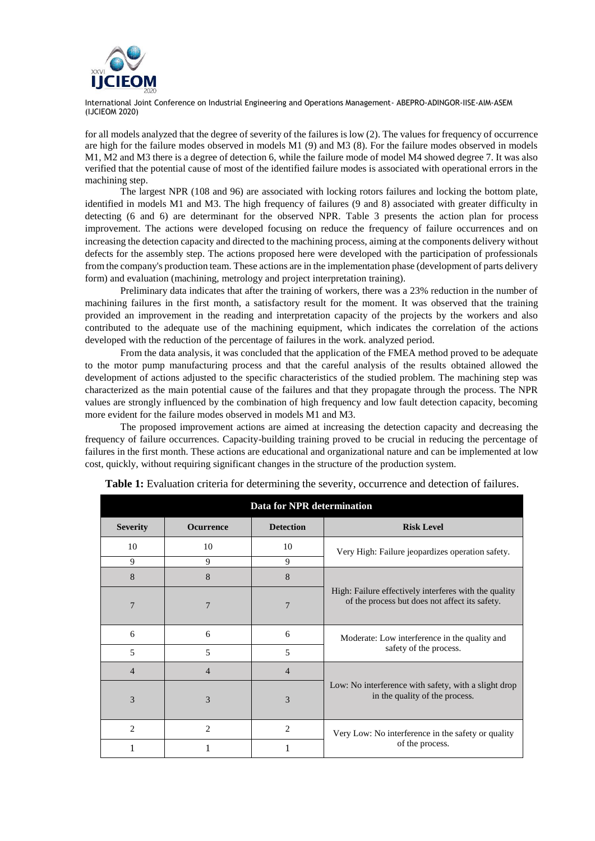

International Joint Conference on Industrial Engineering and Operations Management- ABEPRO-ADINGOR-IISE-AIM-ASEM (IJCIEOM 2020)

for all models analyzed that the degree of severity of the failures is low (2). The values for frequency of occurrence are high for the failure modes observed in models M1 (9) and M3 (8). For the failure modes observed in models M1, M2 and M3 there is a degree of detection 6, while the failure mode of model M4 showed degree 7. It was also verified that the potential cause of most of the identified failure modes is associated with operational errors in the machining step.

The largest NPR (108 and 96) are associated with locking rotors failures and locking the bottom plate, identified in models M1 and M3. The high frequency of failures (9 and 8) associated with greater difficulty in detecting (6 and 6) are determinant for the observed NPR. Table 3 presents the action plan for process improvement. The actions were developed focusing on reduce the frequency of failure occurrences and on increasing the detection capacity and directed to the machining process, aiming at the components delivery without defects for the assembly step. The actions proposed here were developed with the participation of professionals from the company's production team. These actions are in the implementation phase (development of parts delivery form) and evaluation (machining, metrology and project interpretation training).

Preliminary data indicates that after the training of workers, there was a 23% reduction in the number of machining failures in the first month, a satisfactory result for the moment. It was observed that the training provided an improvement in the reading and interpretation capacity of the projects by the workers and also contributed to the adequate use of the machining equipment, which indicates the correlation of the actions developed with the reduction of the percentage of failures in the work. analyzed period.

From the data analysis, it was concluded that the application of the FMEA method proved to be adequate to the motor pump manufacturing process and that the careful analysis of the results obtained allowed the development of actions adjusted to the specific characteristics of the studied problem. The machining step was characterized as the main potential cause of the failures and that they propagate through the process. The NPR values are strongly influenced by the combination of high frequency and low fault detection capacity, becoming more evident for the failure modes observed in models M1 and M3.

The proposed improvement actions are aimed at increasing the detection capacity and decreasing the frequency of failure occurrences. Capacity-building training proved to be crucial in reducing the percentage of failures in the first month. These actions are educational and organizational nature and can be implemented at low cost, quickly, without requiring significant changes in the structure of the production system.

| <b>Data for NPR determination</b> |                  |                  |                                                                                                         |  |  |  |  |
|-----------------------------------|------------------|------------------|---------------------------------------------------------------------------------------------------------|--|--|--|--|
| <b>Severity</b>                   | <b>Ocurrence</b> | <b>Detection</b> | <b>Risk Level</b>                                                                                       |  |  |  |  |
| 10                                | 10               | 10               | Very High: Failure jeopardizes operation safety.                                                        |  |  |  |  |
| 9                                 | 9                | 9                |                                                                                                         |  |  |  |  |
| 8                                 | 8                | 8                |                                                                                                         |  |  |  |  |
| 7                                 | 7                | 7                | High: Failure effectively interferes with the quality<br>of the process but does not affect its safety. |  |  |  |  |
| 6                                 | 6                | 6                | Moderate: Low interference in the quality and                                                           |  |  |  |  |
| 5                                 | 5                | 5                | safety of the process.                                                                                  |  |  |  |  |
| $\overline{4}$                    | 4                | $\overline{4}$   |                                                                                                         |  |  |  |  |
| 3                                 | 3                | 3                | Low: No interference with safety, with a slight drop<br>in the quality of the process.                  |  |  |  |  |
| $\overline{2}$                    | $\overline{2}$   | $\overline{2}$   | Very Low: No interference in the safety or quality                                                      |  |  |  |  |
|                                   |                  |                  | of the process.                                                                                         |  |  |  |  |

**Table 1:** Evaluation criteria for determining the severity, occurrence and detection of failures.